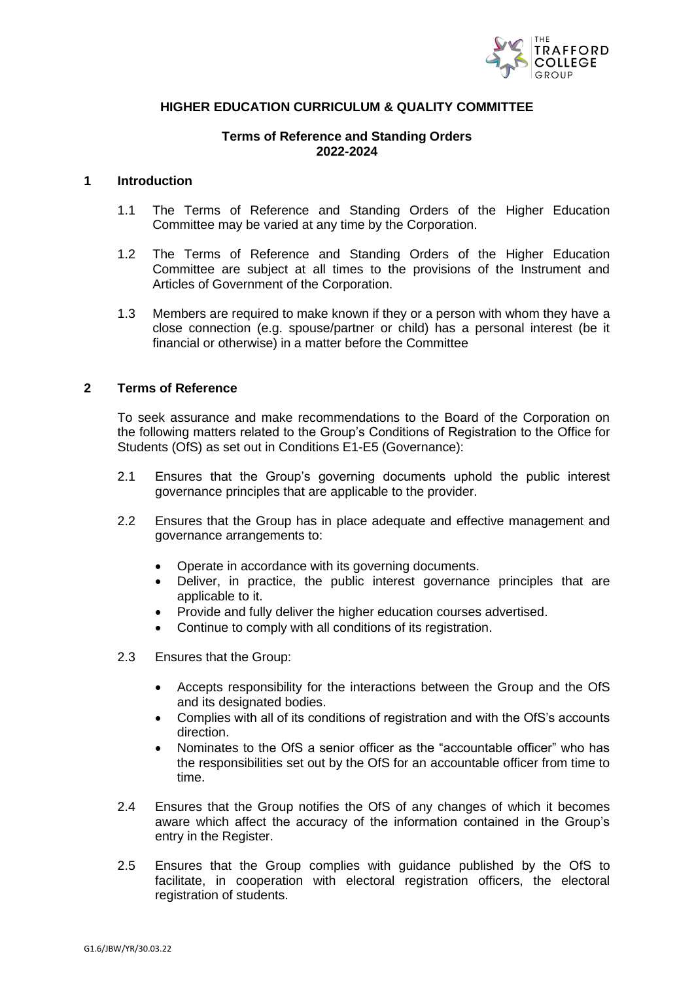

#### **HIGHER EDUCATION CURRICULUM & QUALITY COMMITTEE**

### **Terms of Reference and Standing Orders 2022-2024**

#### **1 Introduction**

- 1.1 The Terms of Reference and Standing Orders of the Higher Education Committee may be varied at any time by the Corporation.
- 1.2 The Terms of Reference and Standing Orders of the Higher Education Committee are subject at all times to the provisions of the Instrument and Articles of Government of the Corporation.
- 1.3 Members are required to make known if they or a person with whom they have a close connection (e.g. spouse/partner or child) has a personal interest (be it financial or otherwise) in a matter before the Committee

#### **2 Terms of Reference**

To seek assurance and make recommendations to the Board of the Corporation on the following matters related to the Group's Conditions of Registration to the Office for Students (OfS) as set out in Conditions E1-E5 (Governance):

- 2.1 Ensures that the Group's governing documents uphold the public interest governance principles that are applicable to the provider.
- 2.2 Ensures that the Group has in place adequate and effective management and governance arrangements to:
	- Operate in accordance with its governing documents.
	- Deliver, in practice, the public interest governance principles that are applicable to it.
	- Provide and fully deliver the higher education courses advertised.
	- Continue to comply with all conditions of its registration.
- 2.3 Ensures that the Group:
	- Accepts responsibility for the interactions between the Group and the OfS and its designated bodies.
	- Complies with all of its conditions of registration and with the OfS's accounts direction.
	- Nominates to the OfS a senior officer as the "accountable officer" who has the responsibilities set out by the OfS for an accountable officer from time to time.
- 2.4 Ensures that the Group notifies the OfS of any changes of which it becomes aware which affect the accuracy of the information contained in the Group's entry in the Register.
- 2.5 Ensures that the Group complies with guidance published by the OfS to facilitate, in cooperation with electoral registration officers, the electoral registration of students.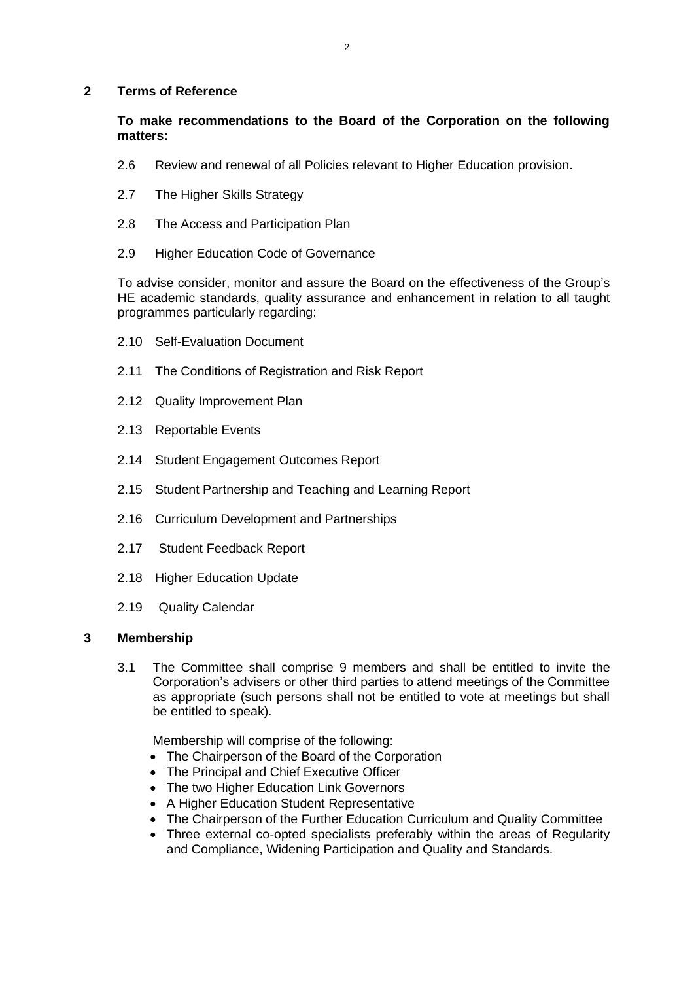#### **2 Terms of Reference**

### **To make recommendations to the Board of the Corporation on the following matters:**

- 2.6 Review and renewal of all Policies relevant to Higher Education provision.
- 2.7 The Higher Skills Strategy
- 2.8 The Access and Participation Plan
- 2.9 Higher Education Code of Governance

To advise consider, monitor and assure the Board on the effectiveness of the Group's HE academic standards, quality assurance and enhancement in relation to all taught programmes particularly regarding:

- 2.10 Self-Evaluation Document
- 2.11 The Conditions of Registration and Risk Report
- 2.12 Quality Improvement Plan
- 2.13 Reportable Events
- 2.14 Student Engagement Outcomes Report
- 2.15 Student Partnership and Teaching and Learning Report
- 2.16 Curriculum Development and Partnerships
- 2.17 Student Feedback Report
- 2.18 Higher Education Update
- 2.19 Quality Calendar

## **3 Membership**

3.1 The Committee shall comprise 9 members and shall be entitled to invite the Corporation's advisers or other third parties to attend meetings of the Committee as appropriate (such persons shall not be entitled to vote at meetings but shall be entitled to speak).

Membership will comprise of the following:

- The Chairperson of the Board of the Corporation
- The Principal and Chief Executive Officer
- The two Higher Education Link Governors
- A Higher Education Student Representative
- The Chairperson of the Further Education Curriculum and Quality Committee
- Three external co-opted specialists preferably within the areas of Regularity and Compliance, Widening Participation and Quality and Standards.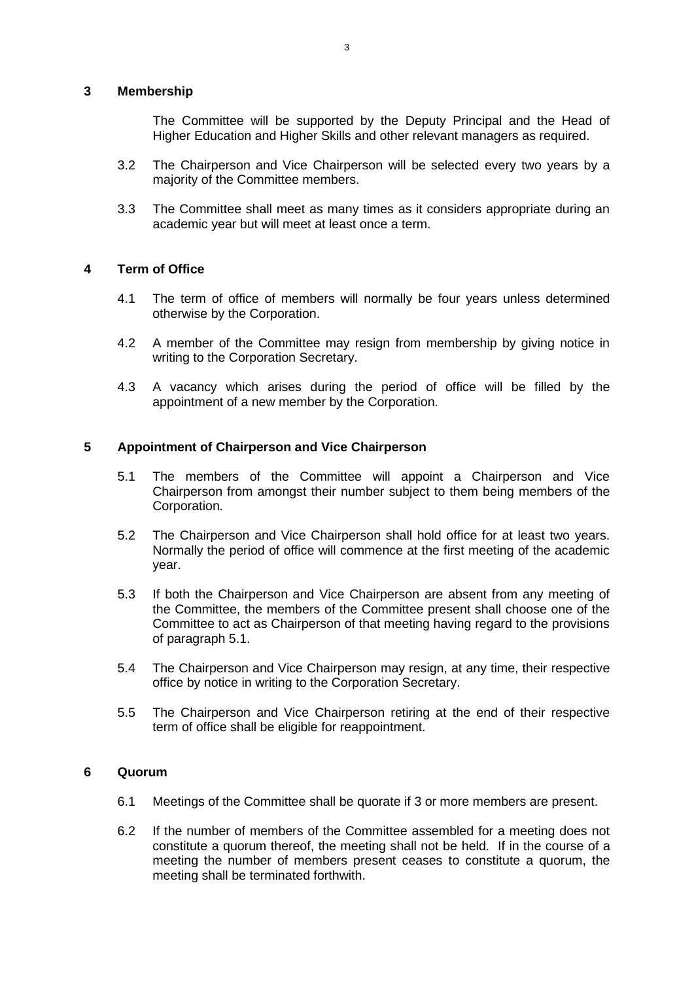#### **3 Membership**

The Committee will be supported by the Deputy Principal and the Head of Higher Education and Higher Skills and other relevant managers as required.

- 3.2 The Chairperson and Vice Chairperson will be selected every two years by a majority of the Committee members.
- 3.3 The Committee shall meet as many times as it considers appropriate during an academic year but will meet at least once a term.

### **4 Term of Office**

- 4.1 The term of office of members will normally be four years unless determined otherwise by the Corporation.
- 4.2 A member of the Committee may resign from membership by giving notice in writing to the Corporation Secretary.
- 4.3 A vacancy which arises during the period of office will be filled by the appointment of a new member by the Corporation.

### **5 Appointment of Chairperson and Vice Chairperson**

- 5.1 The members of the Committee will appoint a Chairperson and Vice Chairperson from amongst their number subject to them being members of the Corporation.
- 5.2 The Chairperson and Vice Chairperson shall hold office for at least two years. Normally the period of office will commence at the first meeting of the academic year.
- 5.3 If both the Chairperson and Vice Chairperson are absent from any meeting of the Committee, the members of the Committee present shall choose one of the Committee to act as Chairperson of that meeting having regard to the provisions of paragraph 5.1.
- 5.4 The Chairperson and Vice Chairperson may resign, at any time, their respective office by notice in writing to the Corporation Secretary.
- 5.5 The Chairperson and Vice Chairperson retiring at the end of their respective term of office shall be eligible for reappointment.

#### **6 Quorum**

- 6.1 Meetings of the Committee shall be quorate if 3 or more members are present.
- 6.2 If the number of members of the Committee assembled for a meeting does not constitute a quorum thereof, the meeting shall not be held. If in the course of a meeting the number of members present ceases to constitute a quorum, the meeting shall be terminated forthwith.